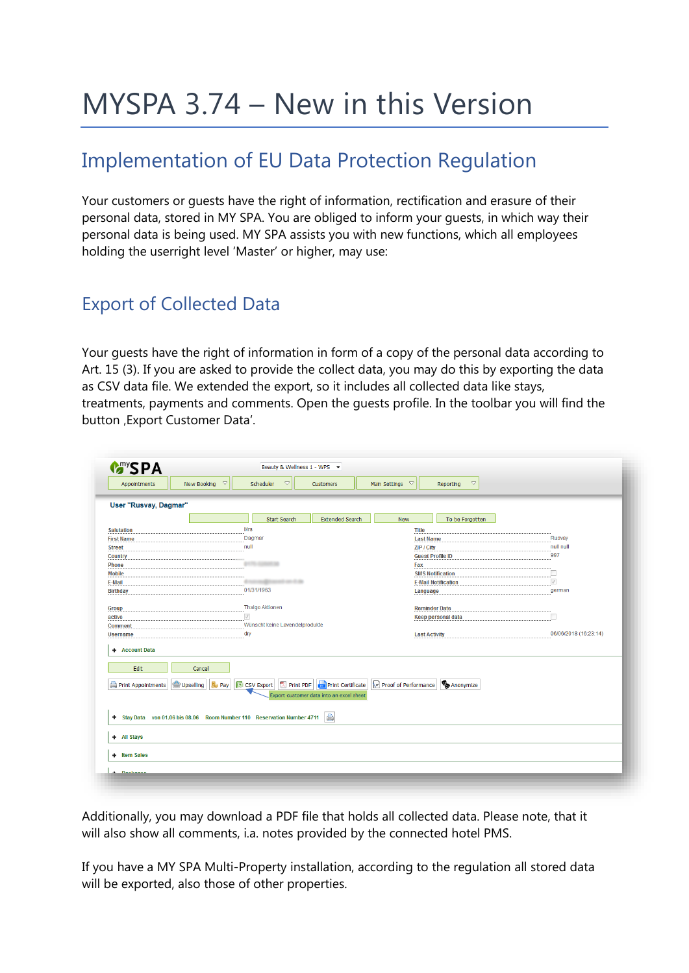# MYSPA 3.74 – New in this Version

## Implementation of EU Data Protection Regulation

Your customers or guests have the right of information, rectification and erasure of their personal data, stored in MY SPA. You are obliged to inform your guests, in which way their personal data is being used. MY SPA assists you with new functions, which all employees holding the userright level 'Master' or higher, may use:

#### Export of Collected Data

Your guests have the right of information in form of a copy of the personal data according to Art. 15 (3). If you are asked to provide the collect data, you may do this by exporting the data as CSV data file. We extended the export, so it includes all collected data like stays, treatments, payments and comments. Open the guests profile. In the toolbar you will find the button , Export Customer Data'.

| Appointments                                            | New Booking $~\heartsuit$                                             | Scheduler<br>$\bigtriangledown$     | Customers                                                            | Main Settings $~\heartsuit$ | $\blacktriangledown$<br>Reporting |                       |
|---------------------------------------------------------|-----------------------------------------------------------------------|-------------------------------------|----------------------------------------------------------------------|-----------------------------|-----------------------------------|-----------------------|
| User "Rusvay, Dagmar"                                   |                                                                       |                                     |                                                                      |                             |                                   |                       |
|                                                         |                                                                       | <b>Start Search</b>                 | <b>Extended Search</b>                                               | <b>New</b>                  | To be Forgotten                   |                       |
| <b>Salutation</b>                                       |                                                                       | <b>Mrs</b>                          |                                                                      | <b>Title</b>                |                                   |                       |
| <b>First Name</b>                                       |                                                                       | Dagmar                              |                                                                      | <b>Last Name</b>            |                                   | Rusvay                |
| <b>Street</b>                                           |                                                                       | null                                |                                                                      | ZIP / City                  |                                   | null null             |
| <b>Country</b>                                          |                                                                       |                                     |                                                                      |                             | <b>Guest Profile ID</b>           | 997                   |
| <b>Phone</b>                                            |                                                                       |                                     |                                                                      | Fax                         |                                   |                       |
| <b>Mobile</b>                                           |                                                                       |                                     |                                                                      |                             | <b>SMS Notification</b>           |                       |
| E-Mail                                                  |                                                                       |                                     |                                                                      |                             | <b>E-Mail Notification</b>        | $\checkmark$          |
| <b>Birthday</b>                                         | 01/31/1963                                                            |                                     | Language                                                             |                             | german                            |                       |
| Group                                                   |                                                                       | <b>Thalgo Aktionen</b>              |                                                                      |                             | <b>Reminder Date</b>              |                       |
| active                                                  |                                                                       | $\sqrt{}$                           |                                                                      |                             | <b>Keep personal data</b>         |                       |
| <b>Comment</b>                                          |                                                                       | Wünscht keine Lavendelprodukte      |                                                                      |                             |                                   |                       |
| <b>Username</b>                                         |                                                                       | dry                                 |                                                                      | <b>Last Activity</b>        |                                   | 06/06/2018 (16:23:14) |
| <b>Account Data</b><br>÷.<br>Edit<br>Print Appointments | Cancel<br>Upselling<br><b>B</b> <sub>D</sub> Pay                      | IS CSV Export<br><b>因 Print PDF</b> | <b>Print Certificate</b><br>Export customer data into an excel sheet | Proof of Performance        | Anonymize                         |                       |
| + All Stays                                             | Stay Data von 01.06 bis 08.06 Room Number 110 Reservation Number 4711 |                                     |                                                                      |                             |                                   |                       |
|                                                         |                                                                       |                                     |                                                                      |                             |                                   |                       |

Additionally, you may download a PDF file that holds all collected data. Please note, that it will also show all comments, i.a. notes provided by the connected hotel PMS.

If you have a MY SPA Multi-Property installation, according to the regulation all stored data will be exported, also those of other properties.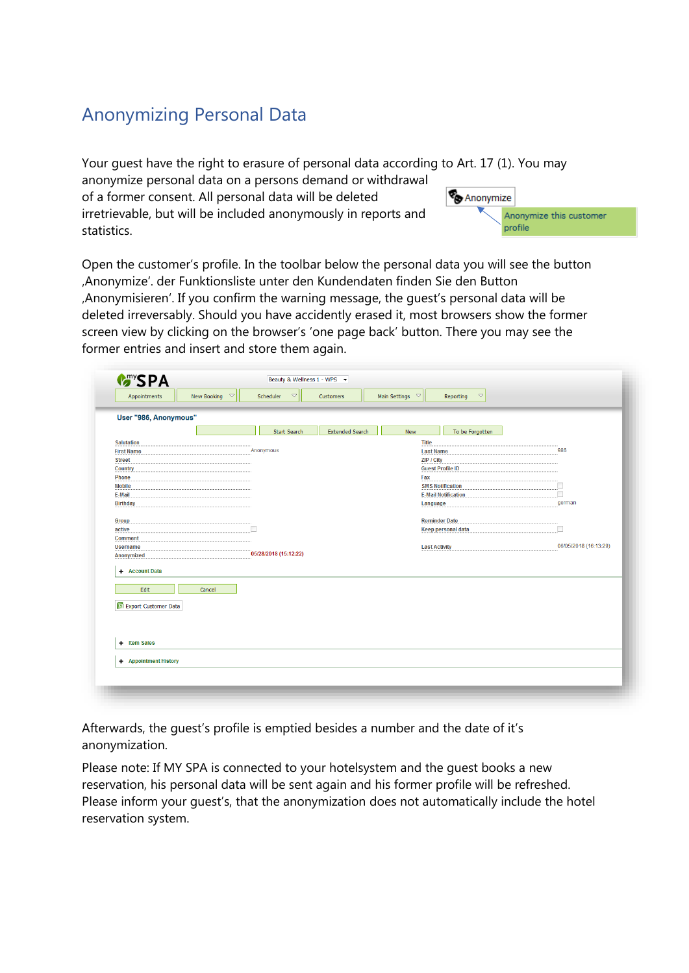### Anonymizing Personal Data

Your guest have the right to erasure of personal data according to Art. 17 (1). You may

anonymize personal data on a persons demand or withdrawal of a former consent. All personal data will be deleted irretrievable, but will be included anonymously in reports and statistics.



Open the customer's profile. In the toolbar below the personal data you will see the button 'Anonymize'. der Funktionsliste unter den Kundendaten finden Sie den Button 'Anonymisieren'. If you confirm the warning message, the guest's personal data will be deleted irreversably. Should you have accidently erased it, most browsers show the former screen view by clicking on the browser's 'one page back' button. There you may see the former entries and insert and store them again.

| User "986, Anonymous"          |        |                       |                        |                                |                            |                       |
|--------------------------------|--------|-----------------------|------------------------|--------------------------------|----------------------------|-----------------------|
|                                |        | <b>Start Search</b>   | <b>Extended Search</b> | New                            | To be Forgotten            |                       |
| <b>Salutation</b>              |        |                       |                        | <b>Title</b>                   |                            |                       |
| <b>First Name</b>              |        | Anonymous             |                        | <b>Last Name</b>               |                            | 986                   |
| <b>Street</b>                  |        |                       |                        | ZIP / City                     |                            |                       |
| <b>Country</b><br><b>Phone</b> |        |                       |                        | <b>Guest Profile ID</b><br>Fax |                            |                       |
| <b>Mobile</b>                  |        |                       |                        |                                | <b>SMS Notification</b>    | п                     |
| E-Mail                         |        |                       |                        |                                | <b>E-Mail Notification</b> | П                     |
| <b>Birthday</b>                |        |                       |                        | Language                       |                            | german                |
|                                |        |                       |                        |                                |                            |                       |
| Group                          |        |                       |                        | <b>Reminder Date</b>           |                            |                       |
| active                         |        |                       |                        |                                | <b>Keep personal data</b>  | П                     |
| <b>Comment</b>                 |        |                       |                        |                                |                            |                       |
| <b>Username</b>                |        | 05/28/2018 (15:12:22) |                        | <b>Last Activity</b>           |                            | 06/05/2018 (16:13:29) |
| Anonymized                     |        |                       |                        |                                |                            |                       |
| + Account Data                 |        |                       |                        |                                |                            |                       |
|                                |        |                       |                        |                                |                            |                       |
| Edit                           | Cancel |                       |                        |                                |                            |                       |
| Export Customer Data           |        |                       |                        |                                |                            |                       |
|                                |        |                       |                        |                                |                            |                       |
|                                |        |                       |                        |                                |                            |                       |
|                                |        |                       |                        |                                |                            |                       |
|                                |        |                       |                        |                                |                            |                       |
| + Item Sales                   |        |                       |                        |                                |                            |                       |
|                                |        |                       |                        |                                |                            |                       |

Afterwards, the guest's profile is emptied besides a number and the date of it's anonymization.

Please note: If MY SPA is connected to your hotelsystem and the guest books a new reservation, his personal data will be sent again and his former profile will be refreshed. Please inform your guest's, that the anonymization does not automatically include the hotel reservation system.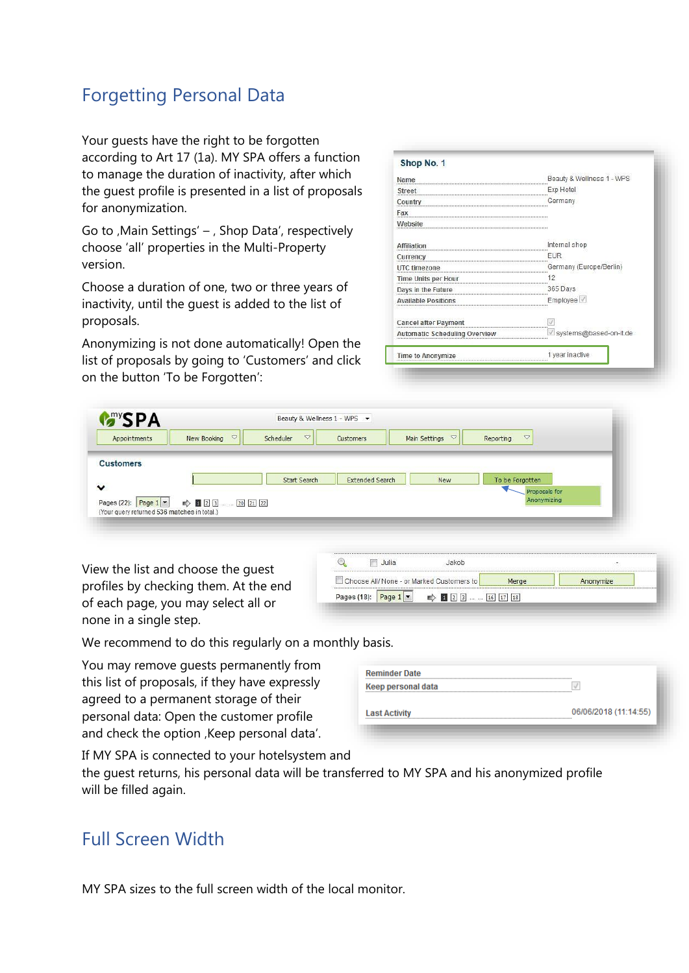#### Forgetting Personal Data

Your guests have the right to be forgotten according to Art 17 (1a). MY SPA offers a function to manage the duration of inactivity, after which the guest profile is presented in a list of proposals for anonymization.

Go to , Main Settings'  $-$  , Shop Data', respectively choose 'all' properties in the Multi-Property version.

Choose a duration of one, two or three years of inactivity, until the guest is added to the list of proposals.

Anonymizing is not done automatically! Open the list of proposals by going to 'Customers' and click on the button 'To be Forgotten':

| Shop No. 1                           |                           |
|--------------------------------------|---------------------------|
| Name                                 | Beauty & Wellness 1 - WPS |
| Street                               | Exp Hotel                 |
| Country                              | Germany                   |
| Fax                                  |                           |
| Website                              |                           |
| <b>Affiliation</b>                   | Internal shop             |
| Currency                             | <b>EUR</b>                |
| UTC timezone                         | Germany (Europe/Berlin)   |
| Time Units per Hour                  | 12                        |
| Days in the Future                   | 365 Days                  |
| <b>Available Positions</b>           | Employee V                |
| <b>Cancel after Payment</b>          |                           |
| <b>Automatic Scheduling Overview</b> | systems@based-on-it.de    |
| Time to Anonymize                    | 1 year inactive           |

| <b>MANSPA</b>                                                                 |                                |                                  |                        |                        |                              |  |
|-------------------------------------------------------------------------------|--------------------------------|----------------------------------|------------------------|------------------------|------------------------------|--|
| Appointments                                                                  | $\triangledown$<br>New Booking | $\overline{\nabla}$<br>Scheduler | Customers              | Main Settings $\nabla$ | $\triangledown$<br>Reporting |  |
|                                                                               |                                |                                  |                        |                        |                              |  |
|                                                                               |                                |                                  |                        |                        |                              |  |
|                                                                               |                                |                                  |                        |                        |                              |  |
| <b>Customers</b>                                                              |                                |                                  |                        |                        |                              |  |
|                                                                               |                                |                                  |                        |                        |                              |  |
|                                                                               |                                | Start Search                     | <b>Extended Search</b> | <b>New</b>             | To be Forgotten              |  |
|                                                                               |                                |                                  |                        |                        | Proposals for                |  |
|                                                                               |                                |                                  |                        |                        | Anonymizing                  |  |
| Pages (22): Page $1$ $\bullet$<br>(Your query returned 536 matches in total.) | $\Rightarrow$ 123  2021 22     |                                  |                        |                        |                              |  |

View the list and choose the guest profiles by checking them. At the end of each page, you may select all or none in a single step.

| Julia                                     |       |       |  |
|-------------------------------------------|-------|-------|--|
| Choose All/ None - or Marked Customers to | Merge | vmize |  |

We recommend to do this regularly on a monthly basis.

You may remove guests permanently from this list of proposals, if they have expressly agreed to a permanent storage of their personal data: Open the customer profile and check the option , Keep personal data'.

| <b>Reminder Date</b> |                       |
|----------------------|-----------------------|
| Keep personal data   |                       |
| <b>Last Activity</b> | 06/06/2018 (11:14:55) |
|                      |                       |

If MY SPA is connected to your hotelsystem and

the guest returns, his personal data will be transferred to MY SPA and his anonymized profile will be filled again.

#### Full Screen Width

MY SPA sizes to the full screen width of the local monitor.